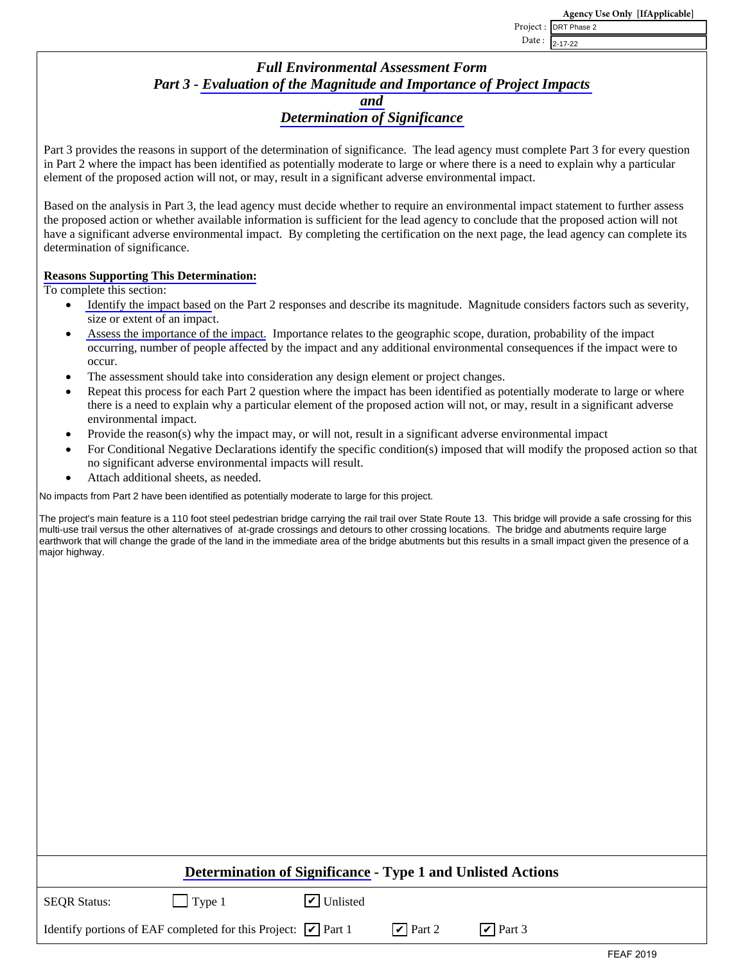Project : DRT Phase 2 Date : 2-17-22

## *Full Environmental Assessment Form Part 3 - [Evaluation of the Magnitude and Importance of Project Impacts](http://www.dec.ny.gov/permits/91818.html)  [and](http://www.dec.ny.gov/permits/91818.html)  [Determination of Significance](http://www.dec.ny.gov/permits/91818.html)*

Part 3 provides the reasons in support of the determination of significance. The lead agency must complete Part 3 for every question in Part 2 where the impact has been identified as potentially moderate to large or where there is a need to explain why a particular element of the proposed action will not, or may, result in a significant adverse environmental impact.

Based on the analysis in Part 3, the lead agency must decide whether to require an environmental impact statement to further assess the proposed action or whether available information is sufficient for the lead agency to conclude that the proposed action will not have a significant adverse environmental impact. By completing the certification on the next page, the lead agency can complete its determination of significance.

## **[Reasons Supporting This Determination:](http://www.dec.ny.gov/permits/91824.html)**

To complete this section:

- [Identify the impact based](http://www.dec.ny.gov/permits/91829.html) on the Part 2 responses and describe its magnitude. Magnitude considers factors such as severity, size or extent of an impact.
- [Assess the importance of the impact.](http://www.dec.ny.gov/permits/91829.html) Importance relates to the geographic scope, duration, probability of the impact occurring, number of people affected by the impact and any additional environmental consequences if the impact were to occur.
- The assessment should take into consideration any design element or project changes.
- Repeat this process for each Part 2 question where the impact has been identified as potentially moderate to large or where there is a need to explain why a particular element of the proposed action will not, or may, result in a significant adverse environmental impact.
- Provide the reason(s) why the impact may, or will not, result in a significant adverse environmental impact
- For Conditional Negative Declarations identify the specific condition(s) imposed that will modify the proposed action so that no significant adverse environmental impacts will result.
- Attach additional sheets, as needed.

No impacts from Part 2 have been identified as potentially moderate to large for this project.

The project's main feature is a 110 foot steel pedestrian bridge carrying the rail trail over State Route 13. This bridge will provide a safe crossing for this multi-use trail versus the other alternatives of at-grade crossings and detours to other crossing locations. The bridge and abutments require large earthwork that will change the grade of the land in the immediate area of the bridge abutments but this results in a small impact given the presence of a major highway.

| <b>Determination of Significance - Type 1 and Unlisted Actions</b> |  |
|--------------------------------------------------------------------|--|
|--------------------------------------------------------------------|--|

SEQR Status: Type 1

**✓** Unlisted

Identify portions of EAF completed for this Project:  $\boxed{\vee}$  Part 1  $\boxed{\vee}$  Part 2  $\boxed{\vee}$  Part 3  $\mathbf{v}$  | Part 1  $\mathbf{v}$ | Part 2  $\mathbf{v}$